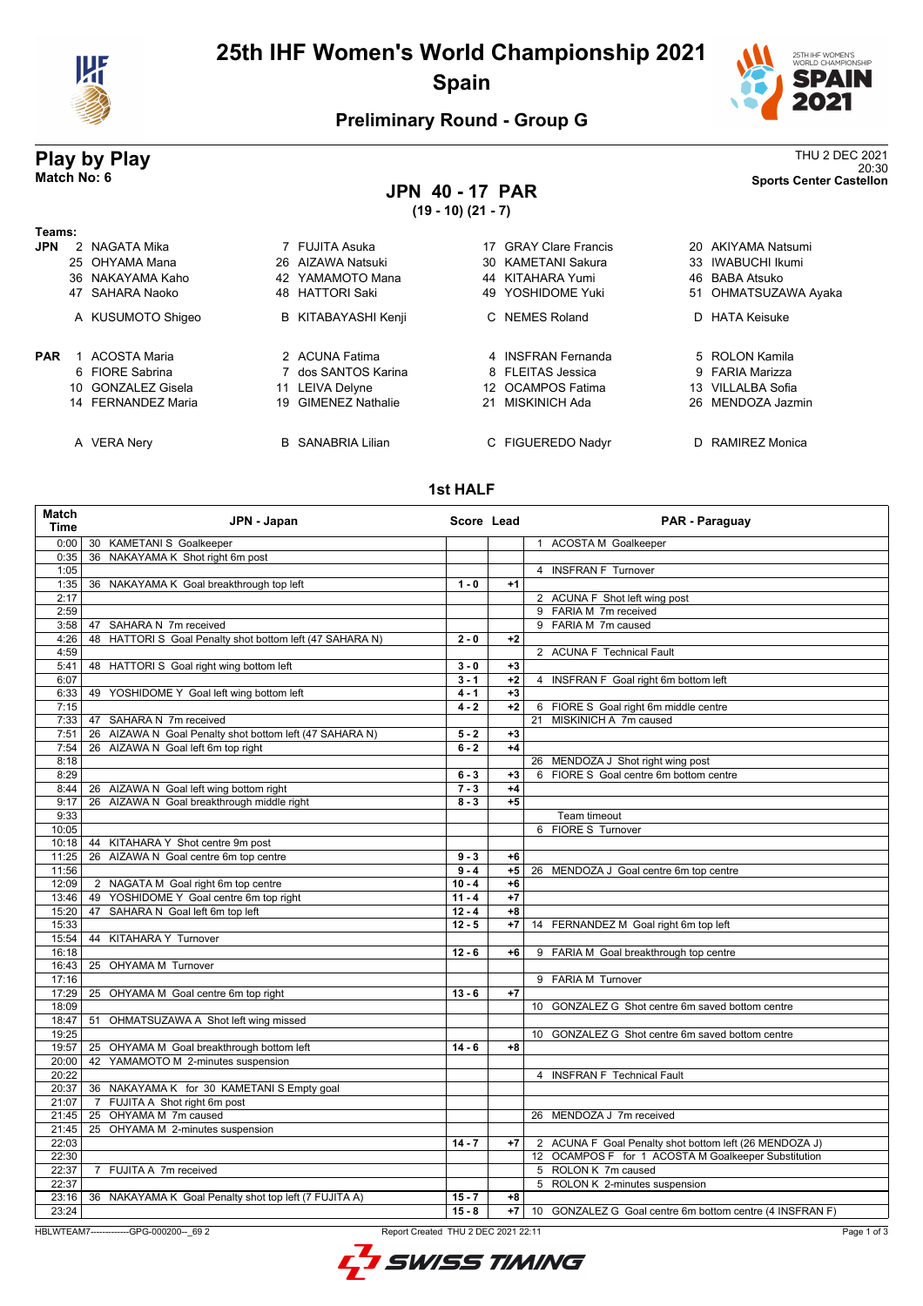

# **25th IHF Women's World Championship 2021 Spain**



20:30 **Match No: 6 Sports Center Castellon**

#### **Preliminary Round - Group G**

# **Play by Play**<br>Match No: 6<br>Sports Center Castellon

# **JPN 40 - 17 PAR**

**(19 - 10) (21 - 7)**

| Teams:     |                    |    |                          |     |                           |     |                      |
|------------|--------------------|----|--------------------------|-----|---------------------------|-----|----------------------|
| <b>JPN</b> | 2 NAGATA Mika      |    | 7 FUJITA Asuka           | 17  | <b>GRAY Clare Francis</b> |     | 20 AKIYAMA Natsumi   |
|            | 25 OHYAMA Mana     |    | 26 AIZAWA Natsuki        |     | 30 KAMETANI Sakura        |     | 33 IWABUCHI Ikumi    |
|            | 36 NAKAYAMA Kaho   |    | 42 YAMAMOTO Mana         |     | 44 KITAHARA Yumi          |     | 46 BABA Atsuko       |
|            | 47 SAHARA Naoko    |    | 48 HATTORI Saki          | 49  | YOSHIDOME Yuki            |     | 51 OHMATSUZAWA Ayaka |
|            | A KUSUMOTO Shigeo  |    | B KITABAYASHI Kenji      |     | C NEMES Roland            |     | D HATA Keisuke       |
| <b>PAR</b> | ACOSTA Maria       |    | 2 ACUNA Fatima           |     | 4 INSFRAN Fernanda        |     | 5 ROLON Kamila       |
|            | 6 FIORE Sabrina    |    | 7 dos SANTOS Karina      |     | 8 FLEITAS Jessica         |     | 9 FARIA Marizza      |
|            | 10 GONZALEZ Gisela |    | 11 LEIVA Delyne          | 12. | <b>OCAMPOS Fatima</b>     | 13. | VILLALBA Sofia       |
|            | 14 FERNANDEZ Maria | 19 | <b>GIMENEZ Nathalie</b>  |     | 21 MISKINICH Ada          |     | 26 MENDOZA Jazmin    |
|            | A VERA Nery        |    | <b>B</b> SANABRIA Lilian |     | C FIGUEREDO Nadyr         | D.  | RAMIREZ Monica       |

#### **1st HALF**

| 0:00<br>30 KAMETANI S Goalkeeper<br>1 ACOSTA M Goalkeeper<br>36 NAKAYAMA K Shot right 6m post<br>0:35<br>4 INSFRAN F Turnover<br>1:05<br>36 NAKAYAMA K Goal breakthrough top left<br>$1 - 0$<br>1:35<br>$+1$<br>2:17<br>2 ACUNA F Shot left wing post<br>2:59<br>9 FARIA M 7m received<br>9 FARIA M 7m caused<br>47 SAHARA N 7m received<br>3:58<br>48 HATTORI S Goal Penalty shot bottom left (47 SAHARA N)<br>4:26<br>$2 - 0$<br>$+2$<br>4:59<br>2 ACUNA F Technical Fault<br>48 HATTORI S Goal right wing bottom left<br>$3 - 0$<br>5:41<br>$+3$<br>6:07<br>$3 - 1$<br>$+2$<br>4 INSFRAN F Goal right 6m bottom left<br>6:33<br>49 YOSHIDOME Y Goal left wing bottom left<br>4 - 1<br>$+3$<br>6 FIORE S Goal right 6m middle centre<br>7:15<br>$4 - 2$<br>$+2$<br>47 SAHARA N 7m received<br>MISKINICH A 7m caused<br>7:33<br>21<br>26 AIZAWA N Goal Penalty shot bottom left (47 SAHARA N)<br>$5 - 2$<br>$+3$<br>7:51<br>26 AIZAWA N Goal left 6m top right<br>$6 - 2$<br>$+4$<br>7:54<br>8:18<br>26 MENDOZA J Shot right wing post<br>8:29<br>6 FIORE S Goal centre 6m bottom centre<br>$6 - 3$<br>$+3$<br>26 AIZAWA N Goal left wing bottom right<br>$7 - 3$<br>$+4$<br>8:44<br>26 AIZAWA N Goal breakthrough middle right<br>$+5$<br>$8 - 3$<br>9:17<br>9:33<br>Team timeout<br>6 FIORE S Turnover<br>10:05<br>44 KITAHARA Y Shot centre 9m post<br>10:18<br>26 AIZAWA N Goal centre 6m top centre<br>11:25<br>$9 - 3$<br>$+6$<br>$9 - 4$<br>11:56<br>$+5$<br>26 MENDOZA J Goal centre 6m top centre<br>12:09<br>2 NAGATA M Goal right 6m top centre<br>$10 - 4$<br>$+6$<br>49 YOSHIDOME Y Goal centre 6m top right<br>$+7$<br>$11 - 4$<br>13:46<br>SAHARA N Goal left 6m top left<br>$12 - 4$<br>15:20<br>$+8$<br>47 |
|------------------------------------------------------------------------------------------------------------------------------------------------------------------------------------------------------------------------------------------------------------------------------------------------------------------------------------------------------------------------------------------------------------------------------------------------------------------------------------------------------------------------------------------------------------------------------------------------------------------------------------------------------------------------------------------------------------------------------------------------------------------------------------------------------------------------------------------------------------------------------------------------------------------------------------------------------------------------------------------------------------------------------------------------------------------------------------------------------------------------------------------------------------------------------------------------------------------------------------------------------------------------------------------------------------------------------------------------------------------------------------------------------------------------------------------------------------------------------------------------------------------------------------------------------------------------------------------------------------------------------------------------------------------------------------------------------------------------------|
|                                                                                                                                                                                                                                                                                                                                                                                                                                                                                                                                                                                                                                                                                                                                                                                                                                                                                                                                                                                                                                                                                                                                                                                                                                                                                                                                                                                                                                                                                                                                                                                                                                                                                                                              |
|                                                                                                                                                                                                                                                                                                                                                                                                                                                                                                                                                                                                                                                                                                                                                                                                                                                                                                                                                                                                                                                                                                                                                                                                                                                                                                                                                                                                                                                                                                                                                                                                                                                                                                                              |
|                                                                                                                                                                                                                                                                                                                                                                                                                                                                                                                                                                                                                                                                                                                                                                                                                                                                                                                                                                                                                                                                                                                                                                                                                                                                                                                                                                                                                                                                                                                                                                                                                                                                                                                              |
|                                                                                                                                                                                                                                                                                                                                                                                                                                                                                                                                                                                                                                                                                                                                                                                                                                                                                                                                                                                                                                                                                                                                                                                                                                                                                                                                                                                                                                                                                                                                                                                                                                                                                                                              |
|                                                                                                                                                                                                                                                                                                                                                                                                                                                                                                                                                                                                                                                                                                                                                                                                                                                                                                                                                                                                                                                                                                                                                                                                                                                                                                                                                                                                                                                                                                                                                                                                                                                                                                                              |
|                                                                                                                                                                                                                                                                                                                                                                                                                                                                                                                                                                                                                                                                                                                                                                                                                                                                                                                                                                                                                                                                                                                                                                                                                                                                                                                                                                                                                                                                                                                                                                                                                                                                                                                              |
|                                                                                                                                                                                                                                                                                                                                                                                                                                                                                                                                                                                                                                                                                                                                                                                                                                                                                                                                                                                                                                                                                                                                                                                                                                                                                                                                                                                                                                                                                                                                                                                                                                                                                                                              |
|                                                                                                                                                                                                                                                                                                                                                                                                                                                                                                                                                                                                                                                                                                                                                                                                                                                                                                                                                                                                                                                                                                                                                                                                                                                                                                                                                                                                                                                                                                                                                                                                                                                                                                                              |
|                                                                                                                                                                                                                                                                                                                                                                                                                                                                                                                                                                                                                                                                                                                                                                                                                                                                                                                                                                                                                                                                                                                                                                                                                                                                                                                                                                                                                                                                                                                                                                                                                                                                                                                              |
|                                                                                                                                                                                                                                                                                                                                                                                                                                                                                                                                                                                                                                                                                                                                                                                                                                                                                                                                                                                                                                                                                                                                                                                                                                                                                                                                                                                                                                                                                                                                                                                                                                                                                                                              |
|                                                                                                                                                                                                                                                                                                                                                                                                                                                                                                                                                                                                                                                                                                                                                                                                                                                                                                                                                                                                                                                                                                                                                                                                                                                                                                                                                                                                                                                                                                                                                                                                                                                                                                                              |
|                                                                                                                                                                                                                                                                                                                                                                                                                                                                                                                                                                                                                                                                                                                                                                                                                                                                                                                                                                                                                                                                                                                                                                                                                                                                                                                                                                                                                                                                                                                                                                                                                                                                                                                              |
|                                                                                                                                                                                                                                                                                                                                                                                                                                                                                                                                                                                                                                                                                                                                                                                                                                                                                                                                                                                                                                                                                                                                                                                                                                                                                                                                                                                                                                                                                                                                                                                                                                                                                                                              |
|                                                                                                                                                                                                                                                                                                                                                                                                                                                                                                                                                                                                                                                                                                                                                                                                                                                                                                                                                                                                                                                                                                                                                                                                                                                                                                                                                                                                                                                                                                                                                                                                                                                                                                                              |
|                                                                                                                                                                                                                                                                                                                                                                                                                                                                                                                                                                                                                                                                                                                                                                                                                                                                                                                                                                                                                                                                                                                                                                                                                                                                                                                                                                                                                                                                                                                                                                                                                                                                                                                              |
|                                                                                                                                                                                                                                                                                                                                                                                                                                                                                                                                                                                                                                                                                                                                                                                                                                                                                                                                                                                                                                                                                                                                                                                                                                                                                                                                                                                                                                                                                                                                                                                                                                                                                                                              |
|                                                                                                                                                                                                                                                                                                                                                                                                                                                                                                                                                                                                                                                                                                                                                                                                                                                                                                                                                                                                                                                                                                                                                                                                                                                                                                                                                                                                                                                                                                                                                                                                                                                                                                                              |
|                                                                                                                                                                                                                                                                                                                                                                                                                                                                                                                                                                                                                                                                                                                                                                                                                                                                                                                                                                                                                                                                                                                                                                                                                                                                                                                                                                                                                                                                                                                                                                                                                                                                                                                              |
|                                                                                                                                                                                                                                                                                                                                                                                                                                                                                                                                                                                                                                                                                                                                                                                                                                                                                                                                                                                                                                                                                                                                                                                                                                                                                                                                                                                                                                                                                                                                                                                                                                                                                                                              |
|                                                                                                                                                                                                                                                                                                                                                                                                                                                                                                                                                                                                                                                                                                                                                                                                                                                                                                                                                                                                                                                                                                                                                                                                                                                                                                                                                                                                                                                                                                                                                                                                                                                                                                                              |
|                                                                                                                                                                                                                                                                                                                                                                                                                                                                                                                                                                                                                                                                                                                                                                                                                                                                                                                                                                                                                                                                                                                                                                                                                                                                                                                                                                                                                                                                                                                                                                                                                                                                                                                              |
|                                                                                                                                                                                                                                                                                                                                                                                                                                                                                                                                                                                                                                                                                                                                                                                                                                                                                                                                                                                                                                                                                                                                                                                                                                                                                                                                                                                                                                                                                                                                                                                                                                                                                                                              |
|                                                                                                                                                                                                                                                                                                                                                                                                                                                                                                                                                                                                                                                                                                                                                                                                                                                                                                                                                                                                                                                                                                                                                                                                                                                                                                                                                                                                                                                                                                                                                                                                                                                                                                                              |
|                                                                                                                                                                                                                                                                                                                                                                                                                                                                                                                                                                                                                                                                                                                                                                                                                                                                                                                                                                                                                                                                                                                                                                                                                                                                                                                                                                                                                                                                                                                                                                                                                                                                                                                              |
|                                                                                                                                                                                                                                                                                                                                                                                                                                                                                                                                                                                                                                                                                                                                                                                                                                                                                                                                                                                                                                                                                                                                                                                                                                                                                                                                                                                                                                                                                                                                                                                                                                                                                                                              |
|                                                                                                                                                                                                                                                                                                                                                                                                                                                                                                                                                                                                                                                                                                                                                                                                                                                                                                                                                                                                                                                                                                                                                                                                                                                                                                                                                                                                                                                                                                                                                                                                                                                                                                                              |
|                                                                                                                                                                                                                                                                                                                                                                                                                                                                                                                                                                                                                                                                                                                                                                                                                                                                                                                                                                                                                                                                                                                                                                                                                                                                                                                                                                                                                                                                                                                                                                                                                                                                                                                              |
|                                                                                                                                                                                                                                                                                                                                                                                                                                                                                                                                                                                                                                                                                                                                                                                                                                                                                                                                                                                                                                                                                                                                                                                                                                                                                                                                                                                                                                                                                                                                                                                                                                                                                                                              |
| 15:33<br>$12 - 5$<br>14 FERNANDEZ M Goal right 6m top left<br>$+7$                                                                                                                                                                                                                                                                                                                                                                                                                                                                                                                                                                                                                                                                                                                                                                                                                                                                                                                                                                                                                                                                                                                                                                                                                                                                                                                                                                                                                                                                                                                                                                                                                                                           |
| 44 KITAHARA Y Turnover<br>15:54                                                                                                                                                                                                                                                                                                                                                                                                                                                                                                                                                                                                                                                                                                                                                                                                                                                                                                                                                                                                                                                                                                                                                                                                                                                                                                                                                                                                                                                                                                                                                                                                                                                                                              |
| $12 - 6$                                                                                                                                                                                                                                                                                                                                                                                                                                                                                                                                                                                                                                                                                                                                                                                                                                                                                                                                                                                                                                                                                                                                                                                                                                                                                                                                                                                                                                                                                                                                                                                                                                                                                                                     |
| 16:18<br>9 FARIA M Goal breakthrough top centre<br>$+6$                                                                                                                                                                                                                                                                                                                                                                                                                                                                                                                                                                                                                                                                                                                                                                                                                                                                                                                                                                                                                                                                                                                                                                                                                                                                                                                                                                                                                                                                                                                                                                                                                                                                      |
| 25 OHYAMA M Turnover<br>16:43                                                                                                                                                                                                                                                                                                                                                                                                                                                                                                                                                                                                                                                                                                                                                                                                                                                                                                                                                                                                                                                                                                                                                                                                                                                                                                                                                                                                                                                                                                                                                                                                                                                                                                |
| 17:16<br>9 FARIA M Turnover                                                                                                                                                                                                                                                                                                                                                                                                                                                                                                                                                                                                                                                                                                                                                                                                                                                                                                                                                                                                                                                                                                                                                                                                                                                                                                                                                                                                                                                                                                                                                                                                                                                                                                  |
| 17:29<br>25 OHYAMA M Goal centre 6m top right<br>$13 - 6$<br>$+7$                                                                                                                                                                                                                                                                                                                                                                                                                                                                                                                                                                                                                                                                                                                                                                                                                                                                                                                                                                                                                                                                                                                                                                                                                                                                                                                                                                                                                                                                                                                                                                                                                                                            |
| 18:09<br>10 GONZALEZ G Shot centre 6m saved bottom centre                                                                                                                                                                                                                                                                                                                                                                                                                                                                                                                                                                                                                                                                                                                                                                                                                                                                                                                                                                                                                                                                                                                                                                                                                                                                                                                                                                                                                                                                                                                                                                                                                                                                    |
| 18:47<br>OHMATSUZAWA A Shot left wing missed<br>51                                                                                                                                                                                                                                                                                                                                                                                                                                                                                                                                                                                                                                                                                                                                                                                                                                                                                                                                                                                                                                                                                                                                                                                                                                                                                                                                                                                                                                                                                                                                                                                                                                                                           |
| 19:25<br>10 GONZALEZ G Shot centre 6m saved bottom centre                                                                                                                                                                                                                                                                                                                                                                                                                                                                                                                                                                                                                                                                                                                                                                                                                                                                                                                                                                                                                                                                                                                                                                                                                                                                                                                                                                                                                                                                                                                                                                                                                                                                    |
| $14 - 6$<br>19:57<br>25 OHYAMA M Goal breakthrough bottom left<br>$+8$                                                                                                                                                                                                                                                                                                                                                                                                                                                                                                                                                                                                                                                                                                                                                                                                                                                                                                                                                                                                                                                                                                                                                                                                                                                                                                                                                                                                                                                                                                                                                                                                                                                       |
| 20:00<br>42 YAMAMOTO M 2-minutes suspension                                                                                                                                                                                                                                                                                                                                                                                                                                                                                                                                                                                                                                                                                                                                                                                                                                                                                                                                                                                                                                                                                                                                                                                                                                                                                                                                                                                                                                                                                                                                                                                                                                                                                  |
| 20:22<br>4 INSFRAN F Technical Fault                                                                                                                                                                                                                                                                                                                                                                                                                                                                                                                                                                                                                                                                                                                                                                                                                                                                                                                                                                                                                                                                                                                                                                                                                                                                                                                                                                                                                                                                                                                                                                                                                                                                                         |
| 36 NAKAYAMA K for 30 KAMETANI S Empty goal<br>20:37                                                                                                                                                                                                                                                                                                                                                                                                                                                                                                                                                                                                                                                                                                                                                                                                                                                                                                                                                                                                                                                                                                                                                                                                                                                                                                                                                                                                                                                                                                                                                                                                                                                                          |
| 7 FUJITA A Shot right 6m post<br>21:07                                                                                                                                                                                                                                                                                                                                                                                                                                                                                                                                                                                                                                                                                                                                                                                                                                                                                                                                                                                                                                                                                                                                                                                                                                                                                                                                                                                                                                                                                                                                                                                                                                                                                       |
| 25 OHYAMA M 7m caused<br>21:45<br>26 MENDOZA J 7m received                                                                                                                                                                                                                                                                                                                                                                                                                                                                                                                                                                                                                                                                                                                                                                                                                                                                                                                                                                                                                                                                                                                                                                                                                                                                                                                                                                                                                                                                                                                                                                                                                                                                   |
| 21:45<br>25 OHYAMA M 2-minutes suspension                                                                                                                                                                                                                                                                                                                                                                                                                                                                                                                                                                                                                                                                                                                                                                                                                                                                                                                                                                                                                                                                                                                                                                                                                                                                                                                                                                                                                                                                                                                                                                                                                                                                                    |
| 22:03<br>$14 - 7$<br>$+7$<br>2 ACUNA F Goal Penalty shot bottom left (26 MENDOZA J)                                                                                                                                                                                                                                                                                                                                                                                                                                                                                                                                                                                                                                                                                                                                                                                                                                                                                                                                                                                                                                                                                                                                                                                                                                                                                                                                                                                                                                                                                                                                                                                                                                          |
| 22:30<br>12 OCAMPOS F for 1 ACOSTA M Goalkeeper Substitution                                                                                                                                                                                                                                                                                                                                                                                                                                                                                                                                                                                                                                                                                                                                                                                                                                                                                                                                                                                                                                                                                                                                                                                                                                                                                                                                                                                                                                                                                                                                                                                                                                                                 |
| 22:37<br>7 FUJITA A 7m received<br>5 ROLON K 7m caused                                                                                                                                                                                                                                                                                                                                                                                                                                                                                                                                                                                                                                                                                                                                                                                                                                                                                                                                                                                                                                                                                                                                                                                                                                                                                                                                                                                                                                                                                                                                                                                                                                                                       |
| 22:37<br>5 ROLON K 2-minutes suspension                                                                                                                                                                                                                                                                                                                                                                                                                                                                                                                                                                                                                                                                                                                                                                                                                                                                                                                                                                                                                                                                                                                                                                                                                                                                                                                                                                                                                                                                                                                                                                                                                                                                                      |
| 23:16<br>36 NAKAYAMA K Goal Penalty shot top left (7 FUJITA A)<br>$15 - 7$<br>$+8$                                                                                                                                                                                                                                                                                                                                                                                                                                                                                                                                                                                                                                                                                                                                                                                                                                                                                                                                                                                                                                                                                                                                                                                                                                                                                                                                                                                                                                                                                                                                                                                                                                           |
| 23:24<br>$15 - 8$<br>$+7$<br>10 GONZALEZ G Goal centre 6m bottom centre (4 INSFRAN F)                                                                                                                                                                                                                                                                                                                                                                                                                                                                                                                                                                                                                                                                                                                                                                                                                                                                                                                                                                                                                                                                                                                                                                                                                                                                                                                                                                                                                                                                                                                                                                                                                                        |
| HBLWTEAM7--------------GPG-000200-- 69 2<br>Report Created THU 2 DEC 2021 22:11<br>Page 1 of 3                                                                                                                                                                                                                                                                                                                                                                                                                                                                                                                                                                                                                                                                                                                                                                                                                                                                                                                                                                                                                                                                                                                                                                                                                                                                                                                                                                                                                                                                                                                                                                                                                               |

L<sup>7</sup> SWISS TIMING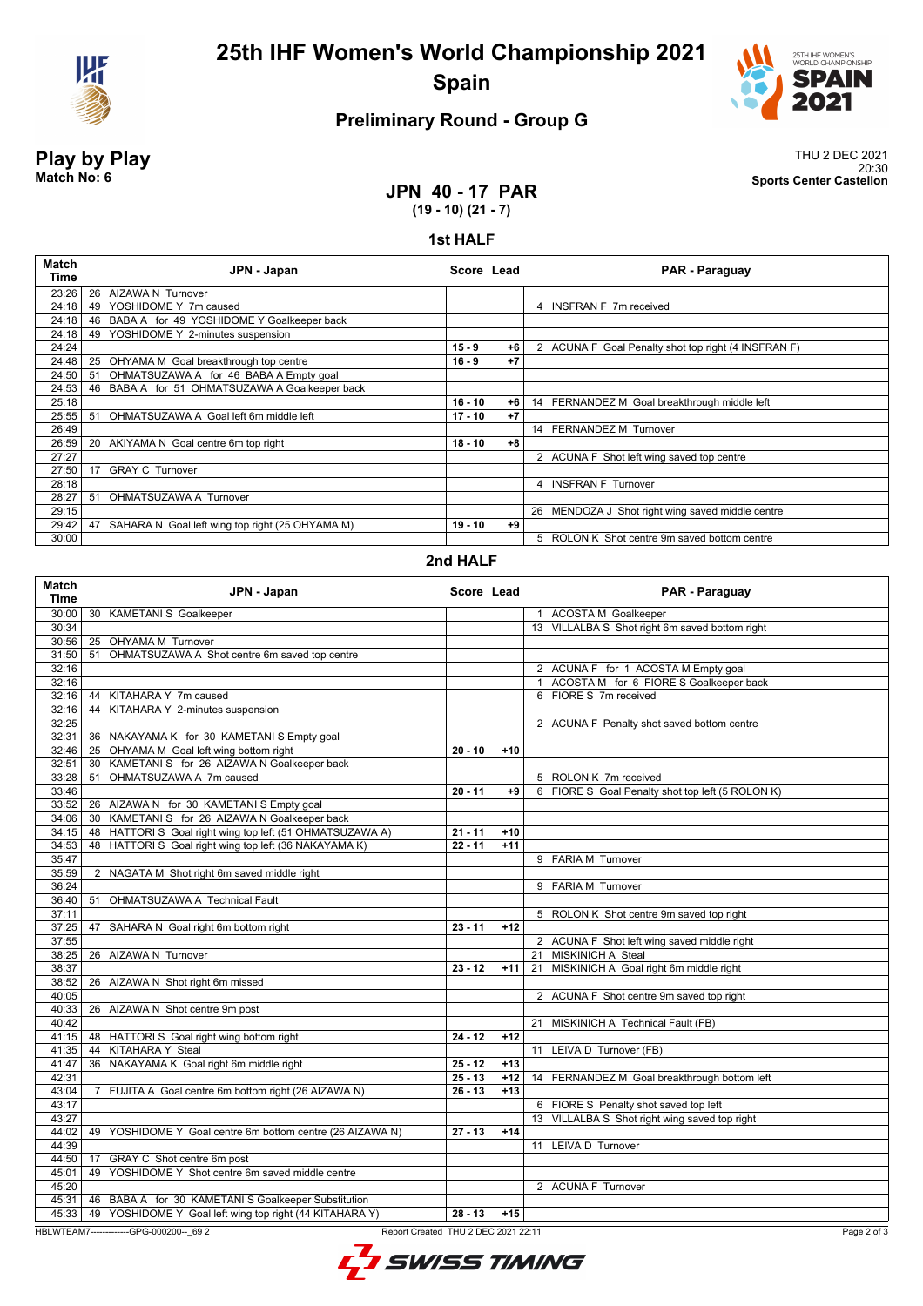



### **Preliminary Round - Group G**

**Play by Play**<br>Match No: 6<br>Sports Center Castellon 20:30 **Match No: 6 Sports Center Castellon**

#### **JPN 40 - 17 PAR (19 - 10) (21 - 7)**

#### **1st HALF**

| Match<br>Time | JPN - Japan                                           | Score Lead |      | PAR - Paraguay                                      |
|---------------|-------------------------------------------------------|------------|------|-----------------------------------------------------|
| 23:26         | 26 AIZAWA N Turnover                                  |            |      |                                                     |
| 24:18         | YOSHIDOME Y 7m caused<br>49                           |            |      | 4 INSFRAN F 7m received                             |
| 24:18         | 46 BABA A for 49 YOSHIDOME Y Goalkeeper back          |            |      |                                                     |
| 24:18         | YOSHIDOME Y 2-minutes suspension<br>49                |            |      |                                                     |
| 24:24         |                                                       | $15 - 9$   | $+6$ | 2 ACUNA F Goal Penalty shot top right (4 INSFRAN F) |
| 24:48         | OHYAMA M Goal breakthrough top centre<br>25           | $16 - 9$   | $+7$ |                                                     |
| 24:50         | 51 OHMATSUZAWA A for 46 BABA A Empty goal             |            |      |                                                     |
| 24:53         | 46 BABA A for 51 OHMATSUZAWA A Goalkeeper back        |            |      |                                                     |
| 25:18         |                                                       | $16 - 10$  | $+6$ | 14 FERNANDEZ M Goal breakthrough middle left        |
| 25:55         | OHMATSUZAWA A Goal left 6m middle left<br>51          | $17 - 10$  | $+7$ |                                                     |
| 26:49         |                                                       |            |      | 14 FERNANDEZ M Turnover                             |
| 26:59         | AKIYAMA N Goal centre 6m top right<br>20              | $18 - 10$  | $+8$ |                                                     |
| 27:27         |                                                       |            |      | 2 ACUNA F Shot left wing saved top centre           |
| 27:50         | <b>GRAY C Turnover</b><br>17                          |            |      |                                                     |
| 28:18         |                                                       |            |      | 4 INSFRAN F Turnover                                |
| 28:27         | OHMATSUZAWA A Turnover<br>51                          |            |      |                                                     |
| 29:15         |                                                       |            |      | 26 MENDOZA J Shot right wing saved middle centre    |
| 29:42         | 47<br>SAHARA N Goal left wing top right (25 OHYAMA M) | $19 - 10$  | +9   |                                                     |
| 30:00         |                                                       |            |      | 5 ROLON K Shot centre 9m saved bottom centre        |

#### **2nd HALF**

| <b>Match</b><br>Time | JPN - Japan                                               | Score Lead                          |       | <b>PAR - Paraguay</b>                            |
|----------------------|-----------------------------------------------------------|-------------------------------------|-------|--------------------------------------------------|
| 30:00                | 30 KAMETANI S Goalkeeper                                  |                                     |       | 1 ACOSTA M Goalkeeper                            |
| 30:34                |                                                           |                                     |       | 13 VILLALBA S Shot right 6m saved bottom right   |
| 30:56                | 25 OHYAMA M Turnover                                      |                                     |       |                                                  |
| 31:50                | OHMATSUZAWA A Shot centre 6m saved top centre<br>51       |                                     |       |                                                  |
| 32:16                |                                                           |                                     |       | 2 ACUNA F for 1 ACOSTA M Empty goal              |
| 32:16                |                                                           |                                     |       | 1 ACOSTA M for 6 FIORE S Goalkeeper back         |
|                      | 32:16 44 KITAHARA Y 7m caused                             |                                     |       | 6 FIORE S 7m received                            |
| 32:16                | 44 KITAHARA Y 2-minutes suspension                        |                                     |       |                                                  |
| 32:25                |                                                           |                                     |       | 2 ACUNA F Penalty shot saved bottom centre       |
| 32:31                | 36 NAKAYAMA K for 30 KAMETANI S Empty goal                |                                     |       |                                                  |
| 32:46                | 25 OHYAMA M Goal left wing bottom right                   | $20 - 10$                           | $+10$ |                                                  |
| 32:51                | KAMETANI S for 26 AIZAWA N Goalkeeper back<br>30          |                                     |       |                                                  |
| 33:28                | OHMATSUZAWA A 7m caused<br>51                             |                                     |       | 5 ROLON K 7m received                            |
| 33:46                |                                                           | $20 - 11$                           | +9    | 6 FIORE S Goal Penalty shot top left (5 ROLON K) |
| 33:52                | 26 AIZAWA N for 30 KAMETANI S Empty goal                  |                                     |       |                                                  |
| 34:06                | 30 KAMETANI S for 26 AIZAWA N Goalkeeper back             |                                     |       |                                                  |
| 34:15                | 48 HATTORI S Goal right wing top left (51 OHMATSUZAWA A)  | $21 - 11$                           | $+10$ |                                                  |
| 34:53                | 48 HATTORI S Goal right wing top left (36 NAKAYAMA K)     | $22 - 11$                           | $+11$ |                                                  |
| 35:47                |                                                           |                                     |       | 9 FARIA M Turnover                               |
| 35:59                | 2 NAGATA M Shot right 6m saved middle right               |                                     |       |                                                  |
| 36:24                |                                                           |                                     |       | 9 FARIA M Turnover                               |
| 36:40                | 51 OHMATSUZAWA A Technical Fault                          |                                     |       |                                                  |
| 37:11                |                                                           |                                     |       | 5 ROLON K Shot centre 9m saved top right         |
| 37:25                | 47 SAHARA N Goal right 6m bottom right                    | $23 - 11$                           | $+12$ |                                                  |
| 37:55                |                                                           |                                     |       | 2 ACUNA F Shot left wing saved middle right      |
| 38:25                | 26 AIZAWA N Turnover                                      |                                     |       | 21 MISKINICH A Steal                             |
| 38:37                |                                                           | $23 - 12$                           | $+11$ | 21 MISKINICH A Goal right 6m middle right        |
| 38:52                | 26 AIZAWA N Shot right 6m missed                          |                                     |       |                                                  |
| 40:05                |                                                           |                                     |       | 2 ACUNA F Shot centre 9m saved top right         |
| 40:33                | 26 AIZAWA N Shot centre 9m post                           |                                     |       |                                                  |
| 40:42                |                                                           |                                     |       | MISKINICH A Technical Fault (FB)<br>21           |
|                      | 41:15   48 HATTORIS Goal right wing bottom right          | $24 - 12$                           | $+12$ |                                                  |
| 41:35                | 44 KITAHARA Y Steal                                       |                                     |       | 11 LEIVA D Turnover (FB)                         |
| 41:47                | 36 NAKAYAMA K Goal right 6m middle right                  | $25 - 12$                           | $+13$ |                                                  |
| 42:31                |                                                           | $25 - 13$                           | $+12$ | 14 FERNANDEZ M Goal breakthrough bottom left     |
| 43:04                | 7 FUJITA A Goal centre 6m bottom right (26 AIZAWA N)      | $26 - 13$                           | $+13$ |                                                  |
| 43:17                |                                                           |                                     |       | 6 FIORE S Penalty shot saved top left            |
| 43:27                |                                                           |                                     |       | 13 VILLALBA S Shot right wing saved top right    |
| 44:02                | 49 YOSHIDOME Y Goal centre 6m bottom centre (26 AIZAWA N) | $27 - 13$                           | $+14$ |                                                  |
| 44:39                |                                                           |                                     |       | 11 LEIVA D Turnover                              |
|                      | 44:50 17 GRAY C Shot centre 6m post                       |                                     |       |                                                  |
| 45:01                | YOSHIDOME Y Shot centre 6m saved middle centre<br>49      |                                     |       |                                                  |
| 45:20                |                                                           |                                     |       | 2 ACUNA F Turnover                               |
| 45:31                | 46 BABA A for 30 KAMETANI S Goalkeeper Substitution       |                                     |       |                                                  |
| 45:33                | 49 YOSHIDOME Y Goal left wing top right (44 KITAHARA Y)   | $28 - 13$                           | $+15$ |                                                  |
|                      |                                                           |                                     |       |                                                  |
|                      | HBLWTEAM7--------------GPG-000200-- 69 2                  | Report Created THU 2 DEC 2021 22:11 |       | Page 2 of 3                                      |